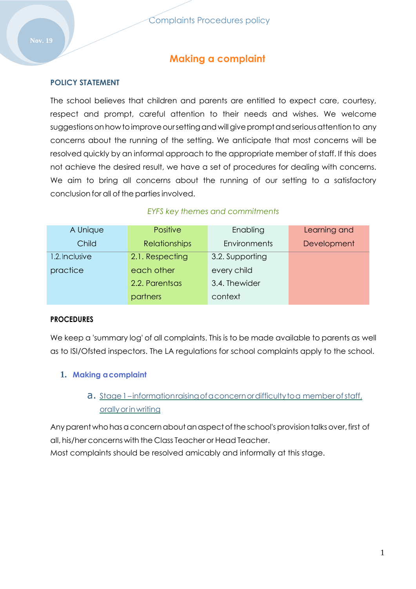# **Making a complaint**

### **POLICY STATEMENT**

The school believes that children and parents are entitled to expect care, courtesy, respect and prompt, careful attention to their needs and wishes. We welcome suggestions on how to improve our setting and will give prompt and serious attention to any concerns about the running of the setting. We anticipate that most concerns will be resolved quickly by an informal approach to the appropriate member of staff. If this does not achieve the desired result, we have a set of procedures for dealing with concerns. We aim to bring all concerns about the running of our setting to a satisfactory conclusion for all of the partiesinvolved.

#### *EYFS key themes and commitments*

| A Unique       | Positive             | Enabling            | Learning and |
|----------------|----------------------|---------------------|--------------|
| Child          | <b>Relationships</b> | <b>Environments</b> | Development  |
| 1.2. Inclusive | 2.1. Respecting      | 3.2. Supporting     |              |
| practice       | each other           | every child         |              |
|                | 2.2. Parentsas       | 3.4. Thewider       |              |
|                | partners             | context             |              |

### **PROCEDURES**

We keep a 'summary log' of all complaints. This is to be made available to parents as well as to ISI/Ofsted inspectors. The LA regulations for school complaints apply to the school.

### **1. Making acomplaint**

# a. Stage 1-informationraising of a concern or difficulty to a member of staff, orallyorinwriting

Any parent who has a concern about an aspect of the school's provision talks over, first of all, his/her concerns with the Class Teacher or Head Teacher.

Most complaints should be resolved amicably and informally at this stage.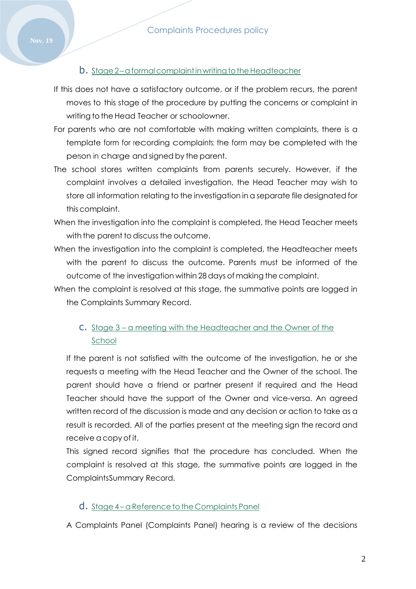### b. Stage 2-a formal complaint in writing to the Headteacher

- If this does not have a satisfactory outcome, or if the problem recurs, the parent moves to this stage of the procedure by putting the concerns or complaint in writing to the Head Teacher or schoolowner.
- For parents who are not comfortable with making written complaints, there is a template form for recording complaints; the form may be completed with the person in charge and signed by the parent.
- The school stores written complaints from parents securely. However, if the complaint involves a detailed investigation, the Head Teacher may wish to store all information relating to the investigation in a separate file designated for this complaint.
- When the investigation into the complaint is completed, the Head Teacher meets with the parent to discuss the outcome.
- When the investigation into the complaint is completed, the Headteacher meets with the parent to discuss the outcome. Parents must be informed of the outcome of the investigation within 28 days of making the complaint.
- When the complaint is resolved at this stage, the summative points are logged in the Complaints Summary Record.

## c. Stage 3 – a meeting with the Headteacher and the Owner of the School

If the parent is not satisfied with the outcome of the investigation, he or she requests a meeting with the Head Teacher and the Owner of the school. The parent should have a friend or partner present if required and the Head Teacher should have the support of the Owner and vice-versa. An agreed written record of the discussion is made and any decision or action to take as a result is recorded. All of the parties present at the meeting sign the record and receive a copy of it.

This signed record signifies that the procedure has concluded. When the complaint is resolved at this stage, the summative points are logged in the ComplaintsSummary Record.

#### d. Stage 4-a Reference to the Complaints Panel

A Complaints Panel (Complaints Panel) hearing is a review of the decisions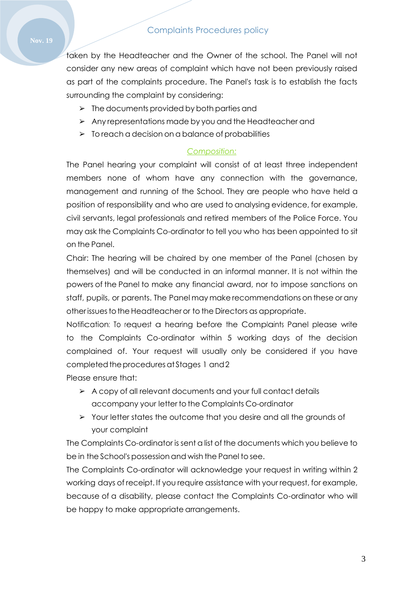taken by the Headteacher and the Owner of the school. The Panel will not consider any new areas of complaint which have not been previously raised as part of the complaints procedure. The Panel's task is to establish the facts surrounding the complaint by considering:

- $\triangleright$  The documents provided by both parties and
- ➢ Any representations made by you and the Headteacher and
- $\geq$  To reach a decision on a balance of probabilities

### *Composition:*

The Panel hearing your complaint will consist of at least three independent members none of whom have any connection with the governance, management and running of the School. They are people who have held a position of responsibility and who are used to analysing evidence, for example, civil servants, legal professionals and retired members of the Police Force. You may ask the Complaints Co-ordinator to tell you who has been appointed to sit on the Panel.

Chair: The hearing will be chaired by one member of the Panel (chosen by themselves) and will be conducted in an informal manner. It is not within the powers of the Panel to make any financial award, nor to impose sanctions on staff, pupils, or parents. The Panel may make recommendations on these or any other issues to the Headteacher or to the Directors as appropriate.

Notification: To request a hearing before the Complaints Panel please write to the Complaints Co-ordinator within 5 working days of the decision complained of. Your request will usually only be considered if you have completed the procedures at Stages 1 and 2

Please ensure that:

- ➢ A copy of all relevant documents and your full contact details accompany your letter to the Complaints Co-ordinator
- ➢ Your letter states the outcome that you desire and all the grounds of your complaint

The Complaints Co-ordinator is sent a list of the documents which you believe to be in the School's possession and wish the Panel to see.

The Complaints Co-ordinator will acknowledge your request in writing within 2 working days of receipt. If you require assistance with your request, for example, because of a disability, please contact the Complaints Co-ordinator who will be happy to make appropriate arrangements.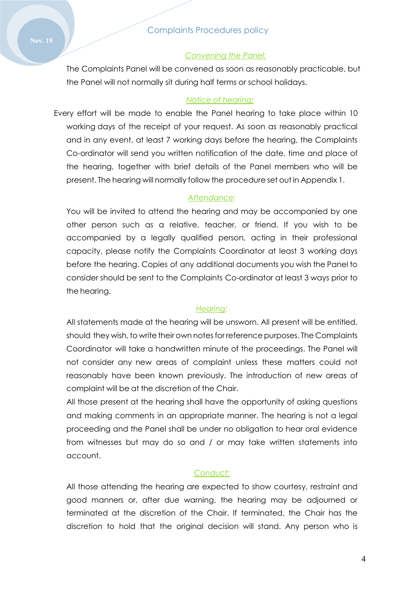#### *Convening the Panel:*

The Complaints Panel will be convened as soon as reasonably practicable, but the Panel will not normally sit during half terms or school holidays.

#### *Notice of hearing:*

Every effort will be made to enable the Panel hearing to take place within 10 working days of the receipt of your request. As soon as reasonably practical and in any event, at least 7 working days before the hearing, the Complaints Co-ordinator will send you written notification of the date, time and place of the hearing, together with brief details of the Panel members who will be present. The hearing will normally follow the procedure set out in Appendix 1.

#### *Attendance:*

You will be invited to attend the hearing and may be accompanied by one other person such as a relative, teacher, or friend. If you wish to be accompanied by a legally qualified person, acting in their professional capacity, please notify the Complaints Coordinator at least 3 working days before the hearing. Copies of any additional documents you wish the Panel to consider should be sent to the Complaints Co-ordinator at least 3 ways prior to the hearing.

#### *Hearing:*

All statements made at the hearing will be unsworn. All present will be entitled, should they wish, to write their own notes for reference purposes. The Complaints Coordinator will take a handwritten minute of the proceedings. The Panel will not consider any new areas of complaint unless these matters could not reasonably have been known previously. The introduction of new areas of complaint will be at the discretion of the Chair.

All those present at the hearing shall have the opportunity of asking questions and making comments in an appropriate manner. The hearing is not a legal proceeding and the Panel shall be under no obligation to hear oral evidence from witnesses but may do so and / or may take written statements into account.

#### *Conduct:*

All those attending the hearing are expected to show courtesy, restraint and good manners or, after due warning, the hearing may be adjourned or terminated at the discretion of the Chair. If terminated, the Chair has the discretion to hold that the original decision will stand. Any person who is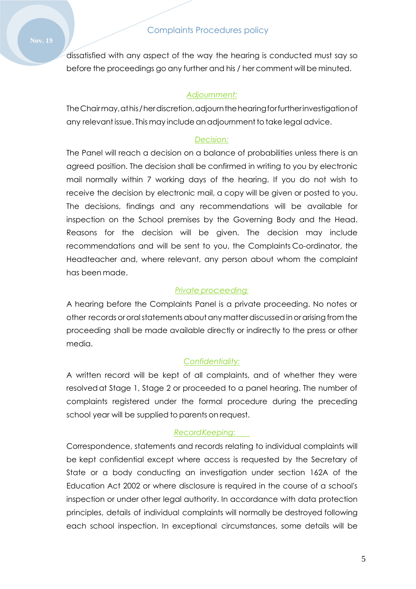dissatisfied with any aspect of the way the hearing is conducted must say so before the proceedings go any further and his / her comment will be minuted.

### *Adjournment:*

TheChairmay,athis/herdiscretion,adjournthehearingforfurtherinvestigationof any relevantissue. This may include anadjournmenttotake legal advice.

### *Decision:*

The Panel will reach a decision on a balance of probabilities unless there is an agreed position. The decision shall be confirmed in writing to you by electronic mail normally within 7 working days of the hearing. If you do not wish to receive the decision by electronic mail, a copy will be given or posted to you. The decisions, findings and any recommendations will be available for inspection on the School premises by the Governing Body and the Head. Reasons for the decision will be given. The decision may include recommendations and will be sent to you, the Complaints Co-ordinator, the Headteacher and, where relevant, any person about whom the complaint has been made.

#### *Private proceeding:*

A hearing before the Complaints Panel is a private proceeding. No notes or other records ororalstatementsaboutany matterdiscussedinorarisingfromthe proceeding shall be made available directly or indirectly to the press or other media.

#### *Confidentiality:*

A written record will be kept of all complaints, and of whether they were resolvedat Stage 1, Stage 2 or proceeded to a panel hearing. The number of complaints registered under the formal procedure during the preceding school year will be supplied to parents on request.

#### *RecordKeeping:*

Correspondence, statements and records relating to individual complaints will be kept confidential except where access is requested by the Secretary of State or a body conducting an investigation under section 162A of the Education Act 2002 or where disclosure is required in the course of a school's inspection or under other legal authority. In accordance with data protection principles, details of individual complaints will normally be destroyed following each school inspection. In exceptional circumstances, some details will be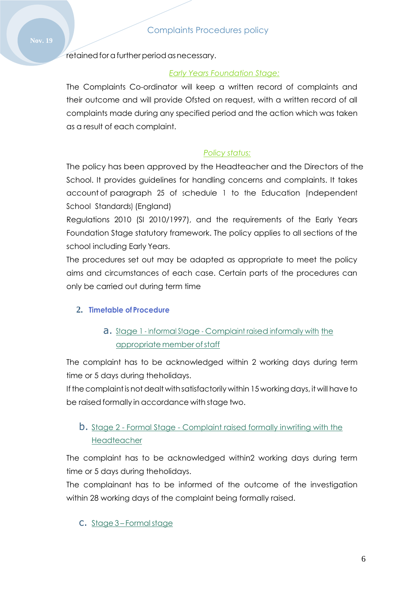retained for a further period as necessary.

### *Early Years Foundation Stage:*

The Complaints Co-ordinator will keep a written record of complaints and their outcome and will provide Ofsted on request, with a written record of all complaints made during any specified period and the action which was taken as a result of each complaint.

### *Policy status:*

The policy has been approved by the Headteacher and the Directors of the School. It provides guidelines for handling concerns and complaints. It takes account of paragraph 25 of schedule 1 to the Education (Independent School Standards) (England)

Regulations 2010 (SI 2010/1997), and the requirements of the Early Years Foundation Stage statutory framework. The policy applies to all sections of the school including Early Years.

The procedures set out may be adapted as appropriate to meet the policy aims and circumstances of each case. Certain parts of the procedures can only be carried out during term time

### **2. Timetable of Procedure**

a. Stage <sup>1</sup> - Informal Stage - Complaint raised informally with the appropriate member ofstaff

The complaint has to be acknowledged within 2 working days during term time or 5 days during theholidays.

If the complaint is not dealt with satisfactorily within 15 working days, it will have to be raised formally in accordance with stage two.

## b. Stage 2 - Formal Stage - Complaint raised formally inwriting with the Headteacher

The complaint has to be acknowledged within2 working days during term time or 5 days during theholidays.

The complainant has to be informed of the outcome of the investigation within 28 working days of the complaint being formally raised.

### c. Stage 3 – Formalstage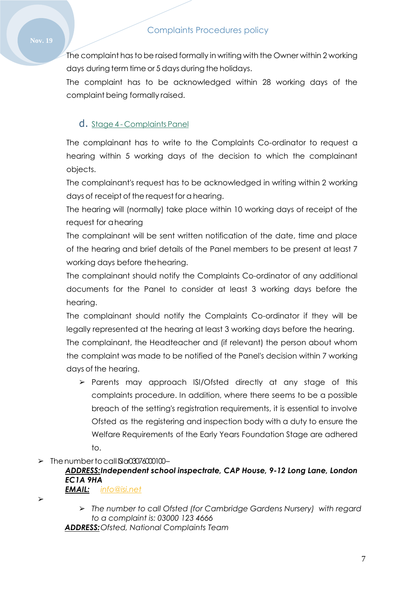The complaint has to be raised formally in writing with the Owner within 2 working days during term time or 5 days during the holidays.

The complaint has to be acknowledged within 28 working days of the complaint being formally raised.

## d. Stage 4 - Complaints Panel

The complainant has to write to the Complaints Co-ordinator to request a hearing within 5 working days of the decision to which the complainant objects.

The complainant's request has to be acknowledged in writing within 2 working days of receipt of the request for a hearing.

The hearing will (normally) take place within 10 working days of receipt of the request for ahearing

The complainant will be sent written notification of the date, time and place of the hearing and brief details of the Panel members to be present at least 7 working days before thehearing.

The complainant should notify the Complaints Co-ordinator of any additional documents for the Panel to consider at least 3 working days before the hearing.

The complainant should notify the Complaints Co-ordinator if they will be legally represented at the hearing at least 3 working days before the hearing. The complainant, the Headteacher and (if relevant) the person about whom the complaint was made to be notified of the Panel's decision within 7 working days of the hearing.

- ➢ Parents may approach ISI/Ofsted directly at any stage of this complaints procedure. In addition, where there seems to be a possible breach of the setting's registration requirements, it is essential to involve Ofsted as the registering and inspection body with a duty to ensure the Welfare Requirements of the Early Years Foundation Stage are adhered to.
- $\geq$  The number to call  $\text{Si}\alpha\text{O}\alpha\text{O}\alpha\text{O}$

#### *ADDRESS:Independent school inspectrate, CAP House, 9-12 Long Lane, London EC1A 9HA EMAIL: [info@isi.net](mailto:info@isi.net)*

➢

➢ *The number to call Ofsted (for Cambridge Gardens Nursery) with regard to a complaint is: 03000 123 4666*

*ADDRESS:Ofsted, National Complaints Team*